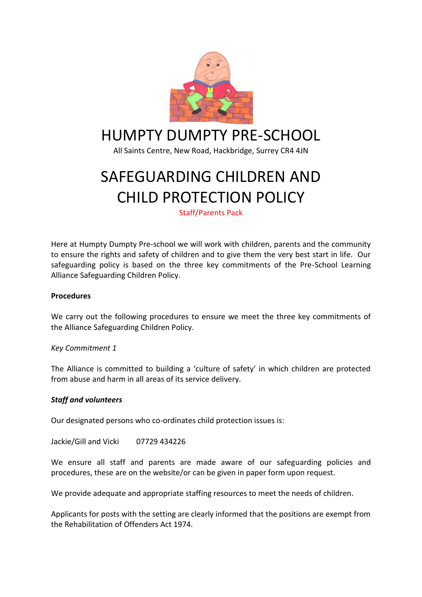

# HUMPTY DUMPTY PRE-SCHOOL

All Saints Centre, New Road, Hackbridge, Surrey CR4 4JN

# SAFEGUARDING CHILDREN AND CHILD PROTECTION POLICY

Staff/Parents Pack

Here at Humpty Dumpty Pre-school we will work with children, parents and the community to ensure the rights and safety of children and to give them the very best start in life. Our safeguarding policy is based on the three key commitments of the Pre-School Learning Alliance Safeguarding Children Policy.

#### **Procedures**

We carry out the following procedures to ensure we meet the three key commitments of the Alliance Safeguarding Children Policy.

#### *Key Commitment 1*

The Alliance is committed to building a 'culture of safety' in which children are protected from abuse and harm in all areas of its service delivery.

#### *Staff and volunteers*

Our designated persons who co-ordinates child protection issues is:

Jackie/Gill and Vicki 07729 434226

We ensure all staff and parents are made aware of our safeguarding policies and procedures, these are on the website/or can be given in paper form upon request.

We provide adequate and appropriate staffing resources to meet the needs of children.

Applicants for posts with the setting are clearly informed that the positions are exempt from the Rehabilitation of Offenders Act 1974.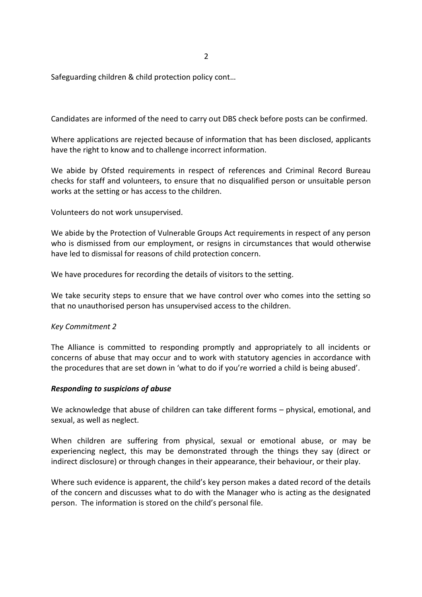2

Safeguarding children & child protection policy cont…

Candidates are informed of the need to carry out DBS check before posts can be confirmed.

Where applications are rejected because of information that has been disclosed, applicants have the right to know and to challenge incorrect information.

We abide by Ofsted requirements in respect of references and Criminal Record Bureau checks for staff and volunteers, to ensure that no disqualified person or unsuitable person works at the setting or has access to the children.

Volunteers do not work unsupervised.

We abide by the Protection of Vulnerable Groups Act requirements in respect of any person who is dismissed from our employment, or resigns in circumstances that would otherwise have led to dismissal for reasons of child protection concern.

We have procedures for recording the details of visitors to the setting.

We take security steps to ensure that we have control over who comes into the setting so that no unauthorised person has unsupervised access to the children.

#### *Key Commitment 2*

The Alliance is committed to responding promptly and appropriately to all incidents or concerns of abuse that may occur and to work with statutory agencies in accordance with the procedures that are set down in 'what to do if you're worried a child is being abused'.

#### *Responding to suspicions of abuse*

We acknowledge that abuse of children can take different forms – physical, emotional, and sexual, as well as neglect.

When children are suffering from physical, sexual or emotional abuse, or may be experiencing neglect, this may be demonstrated through the things they say (direct or indirect disclosure) or through changes in their appearance, their behaviour, or their play.

Where such evidence is apparent, the child's key person makes a dated record of the details of the concern and discusses what to do with the Manager who is acting as the designated person. The information is stored on the child's personal file.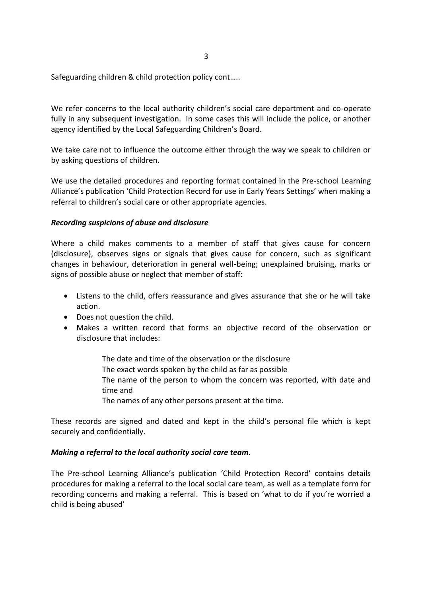Safeguarding children & child protection policy cont…..

We refer concerns to the local authority children's social care department and co-operate fully in any subsequent investigation. In some cases this will include the police, or another agency identified by the Local Safeguarding Children's Board.

We take care not to influence the outcome either through the way we speak to children or by asking questions of children.

We use the detailed procedures and reporting format contained in the Pre-school Learning Alliance's publication 'Child Protection Record for use in Early Years Settings' when making a referral to children's social care or other appropriate agencies.

#### *Recording suspicions of abuse and disclosure*

Where a child makes comments to a member of staff that gives cause for concern (disclosure), observes signs or signals that gives cause for concern, such as significant changes in behaviour, deterioration in general well-being; unexplained bruising, marks or signs of possible abuse or neglect that member of staff:

- Listens to the child, offers reassurance and gives assurance that she or he will take action.
- Does not question the child.
- Makes a written record that forms an objective record of the observation or disclosure that includes:
	- The date and time of the observation or the disclosure The exact words spoken by the child as far as possible The name of the person to whom the concern was reported, with date and time and The names of any other persons present at the time.

These records are signed and dated and kept in the child's personal file which is kept securely and confidentially.

#### *Making a referral to the local authority social care team.*

The Pre-school Learning Alliance's publication 'Child Protection Record' contains details procedures for making a referral to the local social care team, as well as a template form for recording concerns and making a referral. This is based on 'what to do if you're worried a child is being abused'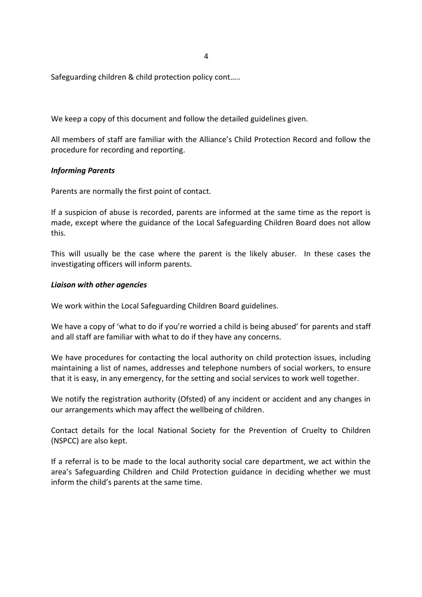4

Safeguarding children & child protection policy cont…..

We keep a copy of this document and follow the detailed guidelines given.

All members of staff are familiar with the Alliance's Child Protection Record and follow the procedure for recording and reporting.

#### *Informing Parents*

Parents are normally the first point of contact.

If a suspicion of abuse is recorded, parents are informed at the same time as the report is made, except where the guidance of the Local Safeguarding Children Board does not allow this.

This will usually be the case where the parent is the likely abuser. In these cases the investigating officers will inform parents.

#### *Liaison with other agencies*

We work within the Local Safeguarding Children Board guidelines.

We have a copy of 'what to do if you're worried a child is being abused' for parents and staff and all staff are familiar with what to do if they have any concerns.

We have procedures for contacting the local authority on child protection issues, including maintaining a list of names, addresses and telephone numbers of social workers, to ensure that it is easy, in any emergency, for the setting and social services to work well together.

We notify the registration authority (Ofsted) of any incident or accident and any changes in our arrangements which may affect the wellbeing of children.

Contact details for the local National Society for the Prevention of Cruelty to Children (NSPCC) are also kept.

If a referral is to be made to the local authority social care department, we act within the area's Safeguarding Children and Child Protection guidance in deciding whether we must inform the child's parents at the same time.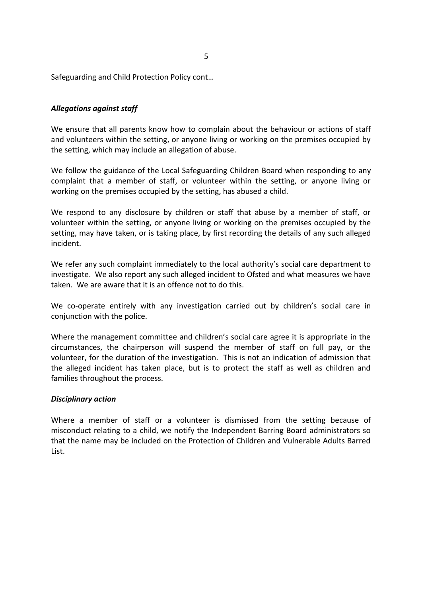Safeguarding and Child Protection Policy cont…

#### *Allegations against staff*

We ensure that all parents know how to complain about the behaviour or actions of staff and volunteers within the setting, or anyone living or working on the premises occupied by the setting, which may include an allegation of abuse.

We follow the guidance of the Local Safeguarding Children Board when responding to any complaint that a member of staff, or volunteer within the setting, or anyone living or working on the premises occupied by the setting, has abused a child.

We respond to any disclosure by children or staff that abuse by a member of staff, or volunteer within the setting, or anyone living or working on the premises occupied by the setting, may have taken, or is taking place, by first recording the details of any such alleged incident.

We refer any such complaint immediately to the local authority's social care department to investigate. We also report any such alleged incident to Ofsted and what measures we have taken. We are aware that it is an offence not to do this.

We co-operate entirely with any investigation carried out by children's social care in conjunction with the police.

Where the management committee and children's social care agree it is appropriate in the circumstances, the chairperson will suspend the member of staff on full pay, or the volunteer, for the duration of the investigation. This is not an indication of admission that the alleged incident has taken place, but is to protect the staff as well as children and families throughout the process.

#### *Disciplinary action*

Where a member of staff or a volunteer is dismissed from the setting because of misconduct relating to a child, we notify the Independent Barring Board administrators so that the name may be included on the Protection of Children and Vulnerable Adults Barred List.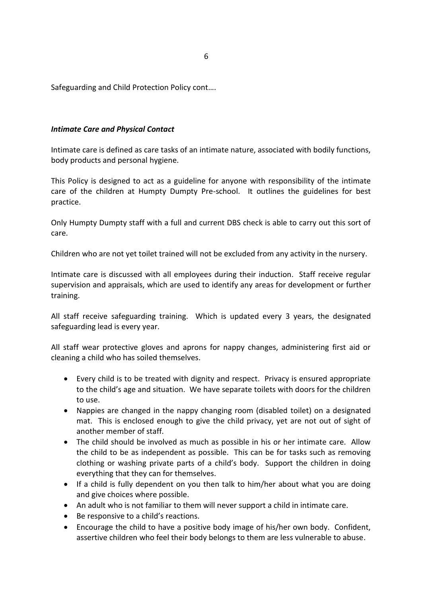Safeguarding and Child Protection Policy cont….

#### *Intimate Care and Physical Contact*

Intimate care is defined as care tasks of an intimate nature, associated with bodily functions, body products and personal hygiene.

This Policy is designed to act as a guideline for anyone with responsibility of the intimate care of the children at Humpty Dumpty Pre-school. It outlines the guidelines for best practice.

Only Humpty Dumpty staff with a full and current DBS check is able to carry out this sort of care.

Children who are not yet toilet trained will not be excluded from any activity in the nursery.

Intimate care is discussed with all employees during their induction. Staff receive regular supervision and appraisals, which are used to identify any areas for development or further training.

All staff receive safeguarding training. Which is updated every 3 years, the designated safeguarding lead is every year.

All staff wear protective gloves and aprons for nappy changes, administering first aid or cleaning a child who has soiled themselves.

- Every child is to be treated with dignity and respect. Privacy is ensured appropriate to the child's age and situation. We have separate toilets with doors for the children to use.
- Nappies are changed in the nappy changing room (disabled toilet) on a designated mat. This is enclosed enough to give the child privacy, yet are not out of sight of another member of staff.
- The child should be involved as much as possible in his or her intimate care. Allow the child to be as independent as possible. This can be for tasks such as removing clothing or washing private parts of a child's body. Support the children in doing everything that they can for themselves.
- If a child is fully dependent on you then talk to him/her about what you are doing and give choices where possible.
- An adult who is not familiar to them will never support a child in intimate care.
- Be responsive to a child's reactions.
- Encourage the child to have a positive body image of his/her own body. Confident, assertive children who feel their body belongs to them are less vulnerable to abuse.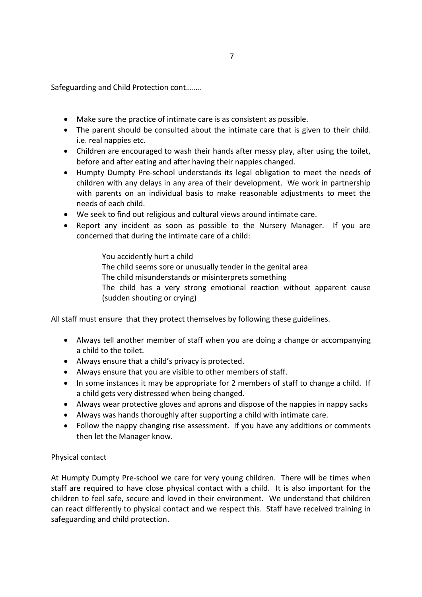Safeguarding and Child Protection cont……..

- Make sure the practice of intimate care is as consistent as possible.
- The parent should be consulted about the intimate care that is given to their child. i.e. real nappies etc.
- Children are encouraged to wash their hands after messy play, after using the toilet, before and after eating and after having their nappies changed.
- Humpty Dumpty Pre-school understands its legal obligation to meet the needs of children with any delays in any area of their development. We work in partnership with parents on an individual basis to make reasonable adjustments to meet the needs of each child.
- We seek to find out religious and cultural views around intimate care.
- Report any incident as soon as possible to the Nursery Manager. If you are concerned that during the intimate care of a child:

You accidently hurt a child The child seems sore or unusually tender in the genital area The child misunderstands or misinterprets something The child has a very strong emotional reaction without apparent cause (sudden shouting or crying)

All staff must ensure that they protect themselves by following these guidelines.

- Always tell another member of staff when you are doing a change or accompanying a child to the toilet.
- Always ensure that a child's privacy is protected.
- Always ensure that you are visible to other members of staff.
- In some instances it may be appropriate for 2 members of staff to change a child. If a child gets very distressed when being changed.
- Always wear protective gloves and aprons and dispose of the nappies in nappy sacks
- Always was hands thoroughly after supporting a child with intimate care.
- Follow the nappy changing rise assessment. If you have any additions or comments then let the Manager know.

#### Physical contact

At Humpty Dumpty Pre-school we care for very young children. There will be times when staff are required to have close physical contact with a child. It is also important for the children to feel safe, secure and loved in their environment. We understand that children can react differently to physical contact and we respect this. Staff have received training in safeguarding and child protection.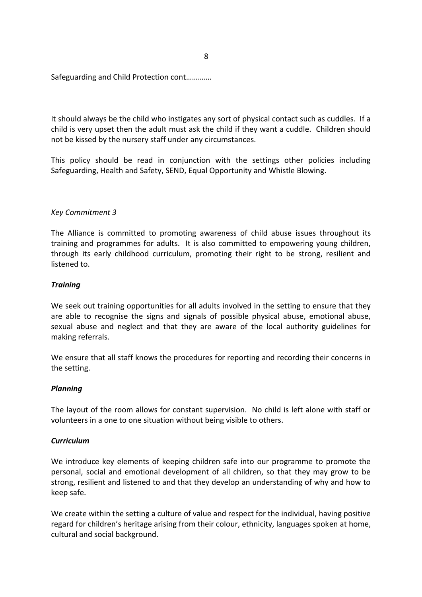Safeguarding and Child Protection cont………….

It should always be the child who instigates any sort of physical contact such as cuddles. If a child is very upset then the adult must ask the child if they want a cuddle. Children should not be kissed by the nursery staff under any circumstances.

This policy should be read in conjunction with the settings other policies including Safeguarding, Health and Safety, SEND, Equal Opportunity and Whistle Blowing.

#### *Key Commitment 3*

The Alliance is committed to promoting awareness of child abuse issues throughout its training and programmes for adults. It is also committed to empowering young children, through its early childhood curriculum, promoting their right to be strong, resilient and listened to.

#### *Training*

We seek out training opportunities for all adults involved in the setting to ensure that they are able to recognise the signs and signals of possible physical abuse, emotional abuse, sexual abuse and neglect and that they are aware of the local authority guidelines for making referrals.

We ensure that all staff knows the procedures for reporting and recording their concerns in the setting.

#### *Planning*

The layout of the room allows for constant supervision. No child is left alone with staff or volunteers in a one to one situation without being visible to others.

#### *Curriculum*

We introduce key elements of keeping children safe into our programme to promote the personal, social and emotional development of all children, so that they may grow to be strong, resilient and listened to and that they develop an understanding of why and how to keep safe.

We create within the setting a culture of value and respect for the individual, having positive regard for children's heritage arising from their colour, ethnicity, languages spoken at home, cultural and social background.